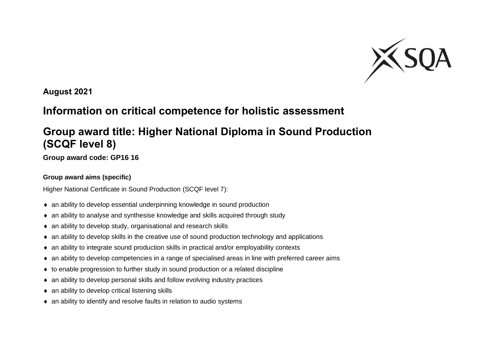

**August 2021**

## **Information on critical competence for holistic assessment**

## **Group award title: Higher National Diploma in Sound Production (SCQF level 8)**

**Group award code: GP16 16**

## **Group award aims (specific)**

Higher National Certificate in Sound Production (SCQF level 7):

- an ability to develop essential underpinning knowledge in sound production
- an ability to analyse and synthesise knowledge and skills acquired through study
- an ability to develop study, organisational and research skills
- $\bullet$  an ability to develop skills in the creative use of sound production technology and applications
- an ability to integrate sound production skills in practical and/or employability contexts
- an ability to develop competencies in a range of specialised areas in line with preferred career aims
- $\bullet$  to enable progression to further study in sound production or a related discipline
- an ability to develop personal skills and follow evolving industry practices
- $\bullet$  an ability to develop critical listening skills
- an ability to identify and resolve faults in relation to audio systems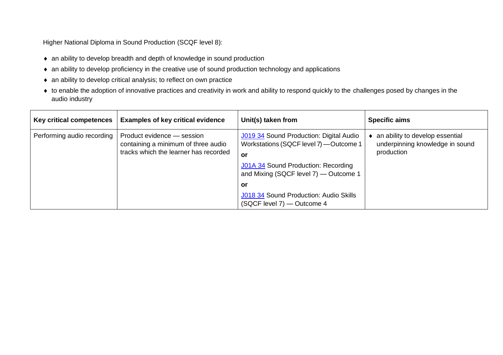Higher National Diploma in Sound Production (SCQF level 8):

- an ability to develop breadth and depth of knowledge in sound production
- an ability to develop proficiency in the creative use of sound production technology and applications
- an ability to develop critical analysis; to reflect on own practice
- to enable the adoption of innovative practices and creativity in work and ability to respond quickly to the challenges posed by changes in the audio industry

| Key critical competences   | <b>Examples of key critical evidence</b>                                                                   | Unit(s) taken from                                                                                                                                                                                                                                            | <b>Specific aims</b>                                                             |
|----------------------------|------------------------------------------------------------------------------------------------------------|---------------------------------------------------------------------------------------------------------------------------------------------------------------------------------------------------------------------------------------------------------------|----------------------------------------------------------------------------------|
| Performing audio recording | Product evidence - session<br>containing a minimum of three audio<br>tracks which the learner has recorded | J019 34 Sound Production: Digital Audio<br>Workstations (SQCF level 7) - Outcome 1<br><b>or</b><br>J01A 34 Sound Production: Recording<br>and Mixing (SQCF level 7) — Outcome 1<br>or<br>J018 34 Sound Production: Audio Skills<br>(SQCF level 7) - Outcome 4 | an ability to develop essential<br>underpinning knowledge in sound<br>production |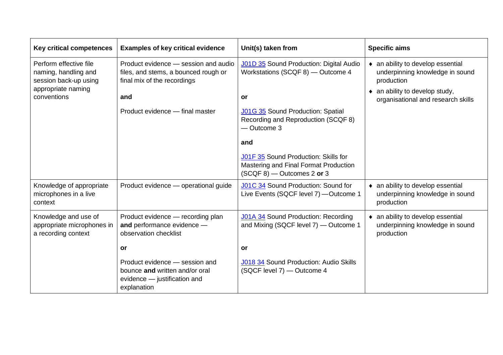| <b>Key critical competences</b>                                           | <b>Examples of key critical evidence</b>                                                                        | Unit(s) taken from                                                                                            | <b>Specific aims</b>                                                               |
|---------------------------------------------------------------------------|-----------------------------------------------------------------------------------------------------------------|---------------------------------------------------------------------------------------------------------------|------------------------------------------------------------------------------------|
| Perform effective file<br>naming, handling and<br>session back-up using   | Product evidence - session and audio<br>files, and stems, a bounced rough or<br>final mix of the recordings     | J01D 35 Sound Production: Digital Audio<br>Workstations (SCQF 8) - Outcome 4                                  | • an ability to develop essential<br>underpinning knowledge in sound<br>production |
| appropriate naming<br>conventions                                         | and                                                                                                             | <b>or</b>                                                                                                     | $\bullet$ an ability to develop study,<br>organisational and research skills       |
|                                                                           | Product evidence - final master                                                                                 | <b>J01G 35</b> Sound Production: Spatial<br>Recording and Reproduction (SCQF 8)<br>- Outcome 3                |                                                                                    |
|                                                                           |                                                                                                                 | and                                                                                                           |                                                                                    |
|                                                                           |                                                                                                                 | J01F 35 Sound Production: Skills for<br>Mastering and Final Format Production<br>$(SCQF 8)$ - Outcomes 2 or 3 |                                                                                    |
| Knowledge of appropriate<br>microphones in a live<br>context              | Product evidence - operational guide                                                                            | J01C 34 Sound Production: Sound for<br>Live Events (SQCF level 7) - Outcome 1                                 | • an ability to develop essential<br>underpinning knowledge in sound<br>production |
| Knowledge and use of<br>appropriate microphones in<br>a recording context | Product evidence - recording plan<br>and performance evidence -<br>observation checklist                        | J01A 34 Sound Production: Recording<br>and Mixing (SQCF level 7) — Outcome 1                                  | • an ability to develop essential<br>underpinning knowledge in sound<br>production |
|                                                                           | <b>or</b>                                                                                                       | <b>or</b>                                                                                                     |                                                                                    |
|                                                                           | Product evidence - session and<br>bounce and written and/or oral<br>evidence - justification and<br>explanation | J018 34 Sound Production: Audio Skills<br>(SQCF level 7) - Outcome 4                                          |                                                                                    |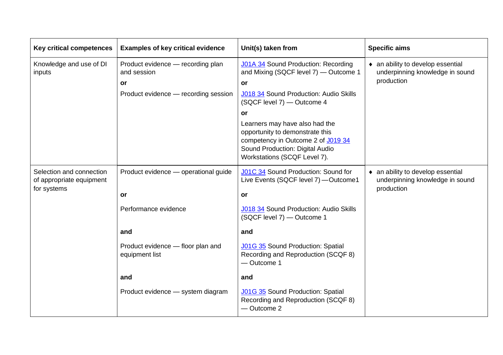| <b>Key critical competences</b>                                     | <b>Examples of key critical evidence</b>                                                       | Unit(s) taken from                                                                                                                                                                                                                                                                                                                                           | <b>Specific aims</b>                                                               |
|---------------------------------------------------------------------|------------------------------------------------------------------------------------------------|--------------------------------------------------------------------------------------------------------------------------------------------------------------------------------------------------------------------------------------------------------------------------------------------------------------------------------------------------------------|------------------------------------------------------------------------------------|
| Knowledge and use of DI<br>inputs                                   | Product evidence - recording plan<br>and session<br>or<br>Product evidence - recording session | <b>J01A 34</b> Sound Production: Recording<br>and Mixing (SQCF level 7) - Outcome 1<br><b>or</b><br>J018 34 Sound Production: Audio Skills<br>(SQCF level 7) - Outcome 4<br>or<br>Learners may have also had the<br>opportunity to demonstrate this<br>competency in Outcome 2 of J019 34<br>Sound Production: Digital Audio<br>Workstations (SCQF Level 7). | • an ability to develop essential<br>underpinning knowledge in sound<br>production |
| Selection and connection<br>of appropriate equipment<br>for systems | Product evidence - operational guide<br>or                                                     | J01C 34 Sound Production: Sound for<br>Live Events (SQCF level 7) - Outcome1<br>or                                                                                                                                                                                                                                                                           | • an ability to develop essential<br>underpinning knowledge in sound<br>production |
|                                                                     | Performance evidence                                                                           | J018 34 Sound Production: Audio Skills<br>(SQCF level 7) - Outcome 1                                                                                                                                                                                                                                                                                         |                                                                                    |
|                                                                     | and                                                                                            | and                                                                                                                                                                                                                                                                                                                                                          |                                                                                    |
|                                                                     | Product evidence - floor plan and<br>equipment list                                            | <b>J01G 35 Sound Production: Spatial</b><br>Recording and Reproduction (SCQF 8)<br>- Outcome 1                                                                                                                                                                                                                                                               |                                                                                    |
|                                                                     | and                                                                                            | and                                                                                                                                                                                                                                                                                                                                                          |                                                                                    |
|                                                                     | Product evidence - system diagram                                                              | <b>J01G 35</b> Sound Production: Spatial<br>Recording and Reproduction (SCQF 8)<br>- Outcome 2                                                                                                                                                                                                                                                               |                                                                                    |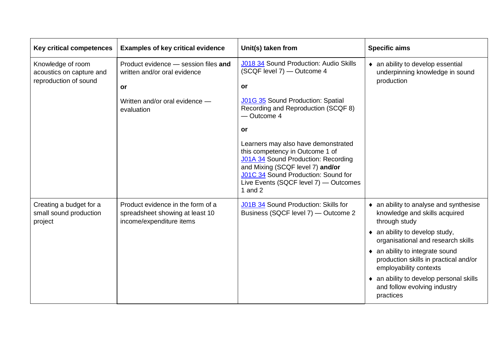| <b>Key critical competences</b>                                        | <b>Examples of key critical evidence</b>                                                         | Unit(s) taken from                                                                                                                                                                                                                             | <b>Specific aims</b>                                                                               |
|------------------------------------------------------------------------|--------------------------------------------------------------------------------------------------|------------------------------------------------------------------------------------------------------------------------------------------------------------------------------------------------------------------------------------------------|----------------------------------------------------------------------------------------------------|
| Knowledge of room<br>acoustics on capture and<br>reproduction of sound | Product evidence - session files and<br>written and/or oral evidence<br>or                       | <b>J018 34 Sound Production: Audio Skills</b><br>(SCQF level 7) - Outcome 4<br><b>or</b>                                                                                                                                                       | • an ability to develop essential<br>underpinning knowledge in sound<br>production                 |
|                                                                        | Written and/or oral evidence -<br>evaluation                                                     | J01G 35 Sound Production: Spatial<br>Recording and Reproduction (SCQF 8)<br>- Outcome 4<br>or                                                                                                                                                  |                                                                                                    |
|                                                                        |                                                                                                  | Learners may also have demonstrated<br>this competency in Outcome 1 of<br>J01A 34 Sound Production: Recording<br>and Mixing (SCQF level 7) and/or<br>J01C 34 Sound Production: Sound for<br>Live Events (SQCF level 7) - Outcomes<br>1 and $2$ |                                                                                                    |
| Creating a budget for a<br>small sound production<br>project           | Product evidence in the form of a<br>spreadsheet showing at least 10<br>income/expenditure items | J01B 34 Sound Production: Skills for<br>Business (SQCF level 7) — Outcome 2                                                                                                                                                                    | • an ability to analyse and synthesise<br>knowledge and skills acquired<br>through study           |
|                                                                        |                                                                                                  |                                                                                                                                                                                                                                                | $\bullet$ an ability to develop study,<br>organisational and research skills                       |
|                                                                        |                                                                                                  |                                                                                                                                                                                                                                                | • an ability to integrate sound<br>production skills in practical and/or<br>employability contexts |
|                                                                        |                                                                                                  |                                                                                                                                                                                                                                                | • an ability to develop personal skills<br>and follow evolving industry<br>practices               |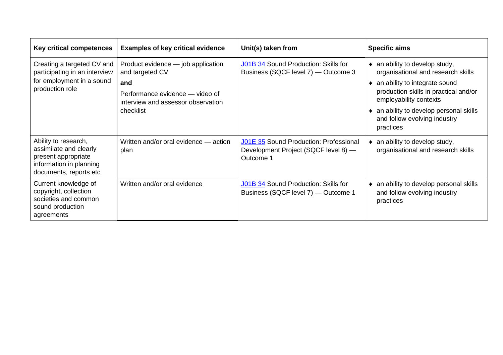| Key critical competences                                                                                                   | <b>Examples of key critical evidence</b>                                                                                                           | Unit(s) taken from                                                                          | <b>Specific aims</b>                                                                                                                                                                                                                                                           |
|----------------------------------------------------------------------------------------------------------------------------|----------------------------------------------------------------------------------------------------------------------------------------------------|---------------------------------------------------------------------------------------------|--------------------------------------------------------------------------------------------------------------------------------------------------------------------------------------------------------------------------------------------------------------------------------|
| Creating a targeted CV and<br>participating in an interview<br>for employment in a sound<br>production role                | Product evidence - job application<br>and targeted CV<br>and<br>Performance evidence — video of<br>interview and assessor observation<br>checklist | J01B 34 Sound Production: Skills for<br>Business (SQCF level 7) — Outcome 3                 | an ability to develop study,<br>$\bullet$<br>organisational and research skills<br>an ability to integrate sound<br>٠<br>production skills in practical and/or<br>employability contexts<br>an ability to develop personal skills<br>and follow evolving industry<br>practices |
| Ability to research,<br>assimilate and clearly<br>present appropriate<br>information in planning<br>documents, reports etc | Written and/or oral evidence - action<br>plan                                                                                                      | J01E 35 Sound Production: Professional<br>Development Project (SQCF level 8) -<br>Outcome 1 | an ability to develop study,<br>organisational and research skills                                                                                                                                                                                                             |
| Current knowledge of<br>copyright, collection<br>societies and common<br>sound production<br>agreements                    | Written and/or oral evidence                                                                                                                       | J01B 34 Sound Production: Skills for<br>Business (SQCF level 7) — Outcome 1                 | an ability to develop personal skills<br>٠<br>and follow evolving industry<br>practices                                                                                                                                                                                        |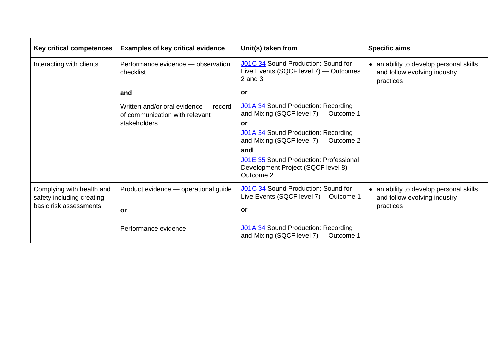| <b>Key critical competences</b>                        | <b>Examples of key critical evidence</b>                                | Unit(s) taken from                                                                          | <b>Specific aims</b>                                                                 |
|--------------------------------------------------------|-------------------------------------------------------------------------|---------------------------------------------------------------------------------------------|--------------------------------------------------------------------------------------|
| Interacting with clients                               | Performance evidence - observation<br>checklist                         | J01C 34 Sound Production: Sound for<br>Live Events (SQCF level 7) — Outcomes<br>$2$ and $3$ | • an ability to develop personal skills<br>and follow evolving industry<br>practices |
|                                                        | and                                                                     | <b>or</b>                                                                                   |                                                                                      |
|                                                        | Written and/or oral evidence - record<br>of communication with relevant | <b>J01A 34 Sound Production: Recording</b><br>and Mixing (SQCF level 7) — Outcome 1         |                                                                                      |
|                                                        | stakeholders                                                            | or                                                                                          |                                                                                      |
|                                                        |                                                                         | J01A 34 Sound Production: Recording<br>and Mixing (SQCF level 7) — Outcome 2                |                                                                                      |
|                                                        |                                                                         | and                                                                                         |                                                                                      |
|                                                        |                                                                         | J01E 35 Sound Production: Professional<br>Development Project (SQCF level 8) -<br>Outcome 2 |                                                                                      |
| Complying with health and<br>safety including creating | Product evidence - operational guide                                    | J01C 34 Sound Production: Sound for<br>Live Events (SQCF level 7) - Outcome 1               | • an ability to develop personal skills<br>and follow evolving industry              |
| basic risk assessments                                 | <b>or</b>                                                               | or                                                                                          | practices                                                                            |
|                                                        | Performance evidence                                                    | J01A 34 Sound Production: Recording<br>and Mixing (SQCF level 7) - Outcome 1                |                                                                                      |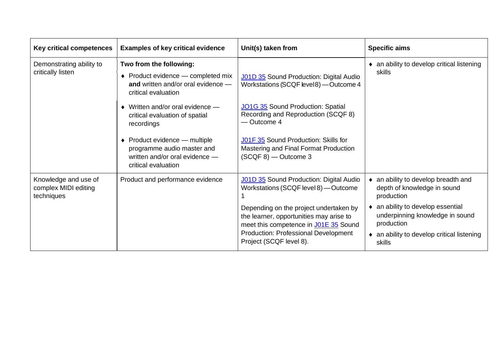| <b>Key critical competences</b>                            | <b>Examples of key critical evidence</b>                                                                                           | Unit(s) taken from                                                                                                         | <b>Specific aims</b>                                                             |
|------------------------------------------------------------|------------------------------------------------------------------------------------------------------------------------------------|----------------------------------------------------------------------------------------------------------------------------|----------------------------------------------------------------------------------|
| Demonstrating ability to<br>critically listen              | Two from the following:<br>$\bullet$ Product evidence — completed mix<br>and written and/or oral evidence -<br>critical evaluation | J01D 35 Sound Production: Digital Audio<br>Workstations (SCQF level 8) - Outcome 4                                         | • an ability to develop critical listening<br>skills                             |
|                                                            | $\bullet$ Written and/or oral evidence $-$<br>critical evaluation of spatial<br>recordings                                         | JO1G 35 Sound Production: Spatial<br>Recording and Reproduction (SCQF 8)<br>- Outcome 4                                    |                                                                                  |
|                                                            | $\bullet$ Product evidence — multiple<br>programme audio master and<br>written and/or oral evidence -<br>critical evaluation       | J01F 35 Sound Production: Skills for<br>Mastering and Final Format Production<br>$(SCQF 8)$ - Outcome 3                    |                                                                                  |
| Knowledge and use of<br>complex MIDI editing<br>techniques | Product and performance evidence                                                                                                   | J01D 35 Sound Production: Digital Audio<br>Workstations (SCQF level 8) - Outcome                                           | • an ability to develop breadth and<br>depth of knowledge in sound<br>production |
|                                                            |                                                                                                                                    | Depending on the project undertaken by<br>the learner, opportunities may arise to<br>meet this competence in J01E 35 Sound | an ability to develop essential<br>underpinning knowledge in sound<br>production |
|                                                            |                                                                                                                                    | Production: Professional Development<br>Project (SCQF level 8).                                                            | • an ability to develop critical listening<br>skills                             |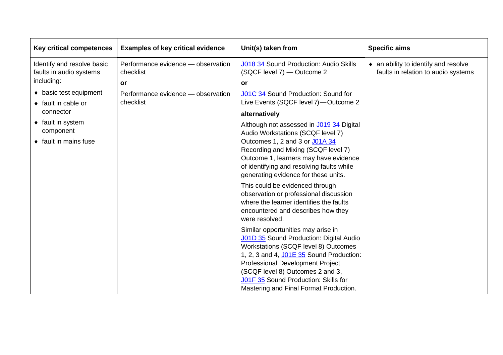| <b>Key critical competences</b>                       | <b>Examples of key critical evidence</b>        | Unit(s) taken from                                                                                                                                                                                                                                                                                                                 | <b>Specific aims</b>                                                        |
|-------------------------------------------------------|-------------------------------------------------|------------------------------------------------------------------------------------------------------------------------------------------------------------------------------------------------------------------------------------------------------------------------------------------------------------------------------------|-----------------------------------------------------------------------------|
| Identify and resolve basic<br>faults in audio systems | Performance evidence - observation<br>checklist | J018 34 Sound Production: Audio Skills<br>(SQCF level 7) - Outcome 2                                                                                                                                                                                                                                                               | • an ability to identify and resolve<br>faults in relation to audio systems |
| including:                                            | or                                              | <b>or</b>                                                                                                                                                                                                                                                                                                                          |                                                                             |
| • basic test equipment<br>$\bullet$ fault in cable or | Performance evidence - observation<br>checklist | J01C 34 Sound Production: Sound for<br>Live Events (SQCF level 7)-Outcome 2                                                                                                                                                                                                                                                        |                                                                             |
| connector                                             |                                                 | alternatively                                                                                                                                                                                                                                                                                                                      |                                                                             |
| $\bullet$ fault in system<br>component                |                                                 | Although not assessed in J019 34 Digital<br>Audio Workstations (SCQF level 7)                                                                                                                                                                                                                                                      |                                                                             |
| $\bullet$ fault in mains fuse                         |                                                 | Outcomes 1, 2 and 3 or J01A 34<br>Recording and Mixing (SCQF level 7)<br>Outcome 1, learners may have evidence<br>of identifying and resolving faults while<br>generating evidence for these units.                                                                                                                                |                                                                             |
|                                                       |                                                 | This could be evidenced through<br>observation or professional discussion<br>where the learner identifies the faults<br>encountered and describes how they<br>were resolved.                                                                                                                                                       |                                                                             |
|                                                       |                                                 | Similar opportunities may arise in<br>J01D 35 Sound Production: Digital Audio<br>Workstations (SCQF level 8) Outcomes<br>1, 2, 3 and 4, J01E 35 Sound Production:<br><b>Professional Development Project</b><br>(SCQF level 8) Outcomes 2 and 3,<br>J01F 35 Sound Production: Skills for<br>Mastering and Final Format Production. |                                                                             |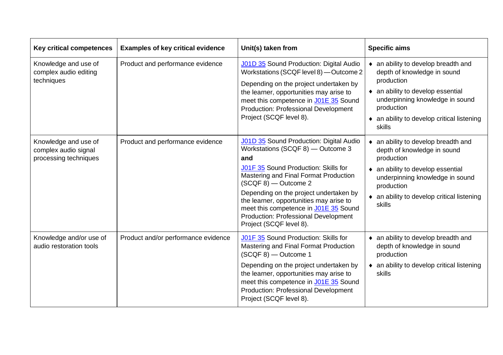| <b>Key critical competences</b>                                       | <b>Examples of key critical evidence</b> | Unit(s) taken from                                                                                                                                                                                                                                                                                                                                                                                          | <b>Specific aims</b>                                                                                                                                                                                                           |
|-----------------------------------------------------------------------|------------------------------------------|-------------------------------------------------------------------------------------------------------------------------------------------------------------------------------------------------------------------------------------------------------------------------------------------------------------------------------------------------------------------------------------------------------------|--------------------------------------------------------------------------------------------------------------------------------------------------------------------------------------------------------------------------------|
| Knowledge and use of<br>complex audio editing<br>techniques           | Product and performance evidence         | <b>J01D 35</b> Sound Production: Digital Audio<br>Workstations (SCQF level 8) - Outcome 2<br>Depending on the project undertaken by<br>the learner, opportunities may arise to<br>meet this competence in J01E 35 Sound<br><b>Production: Professional Development</b><br>Project (SCQF level 8).                                                                                                           | • an ability to develop breadth and<br>depth of knowledge in sound<br>production<br>• an ability to develop essential<br>underpinning knowledge in sound<br>production<br>• an ability to develop critical listening<br>skills |
| Knowledge and use of<br>complex audio signal<br>processing techniques | Product and performance evidence         | <b>J01D 35</b> Sound Production: Digital Audio<br>Workstations (SCQF 8) - Outcome 3<br>and<br>J01F 35 Sound Production: Skills for<br>Mastering and Final Format Production<br>(SCQF 8) - Outcome 2<br>Depending on the project undertaken by<br>the learner, opportunities may arise to<br>meet this competence in J01E 35 Sound<br><b>Production: Professional Development</b><br>Project (SCQF level 8). | • an ability to develop breadth and<br>depth of knowledge in sound<br>production<br>• an ability to develop essential<br>underpinning knowledge in sound<br>production<br>• an ability to develop critical listening<br>skills |
| Knowledge and/or use of<br>audio restoration tools                    | Product and/or performance evidence      | J01F 35 Sound Production: Skills for<br>Mastering and Final Format Production<br>(SCQF 8) - Outcome 1<br>Depending on the project undertaken by<br>the learner, opportunities may arise to<br>meet this competence in J01E 35 Sound<br><b>Production: Professional Development</b><br>Project (SCQF level 8).                                                                                               | • an ability to develop breadth and<br>depth of knowledge in sound<br>production<br>• an ability to develop critical listening<br>skills                                                                                       |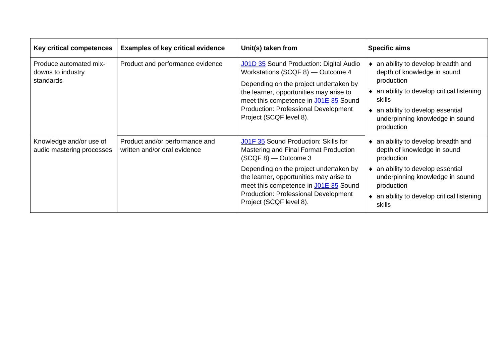| Key critical competences                                 | <b>Examples of key critical evidence</b>                       | Unit(s) taken from                                                                                                                                                                                                                                                                                     | <b>Specific aims</b>                                                                                                                                                                                                     |
|----------------------------------------------------------|----------------------------------------------------------------|--------------------------------------------------------------------------------------------------------------------------------------------------------------------------------------------------------------------------------------------------------------------------------------------------------|--------------------------------------------------------------------------------------------------------------------------------------------------------------------------------------------------------------------------|
| Produce automated mix-<br>downs to industry<br>standards | Product and performance evidence                               | J01D 35 Sound Production: Digital Audio<br>Workstations (SCQF 8) — Outcome 4<br>Depending on the project undertaken by<br>the learner, opportunities may arise to<br>meet this competence in J01E 35 Sound<br><b>Production: Professional Development</b><br>Project (SCQF level 8).                   | an ability to develop breadth and<br>depth of knowledge in sound<br>production<br>an ability to develop critical listening<br>skills<br>an ability to develop essential<br>underpinning knowledge in sound<br>production |
| Knowledge and/or use of<br>audio mastering processes     | Product and/or performance and<br>written and/or oral evidence | J01F 35 Sound Production: Skills for<br>Mastering and Final Format Production<br>(SCQF 8) - Outcome 3<br>Depending on the project undertaken by<br>the learner, opportunities may arise to<br>meet this competence in J01E 35 Sound<br>Production: Professional Development<br>Project (SCQF level 8). | an ability to develop breadth and<br>depth of knowledge in sound<br>production<br>an ability to develop essential<br>underpinning knowledge in sound<br>production<br>an ability to develop critical listening<br>skills |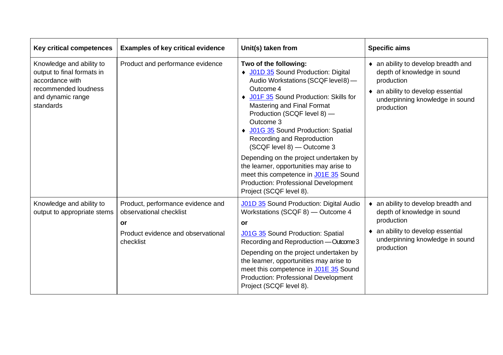| Key critical competences                                                                                                            | <b>Examples of key critical evidence</b>                                                                              | Unit(s) taken from                                                                                                                                                                                                                                                                                                                                                                | <b>Specific aims</b>                                                                                                                                                   |
|-------------------------------------------------------------------------------------------------------------------------------------|-----------------------------------------------------------------------------------------------------------------------|-----------------------------------------------------------------------------------------------------------------------------------------------------------------------------------------------------------------------------------------------------------------------------------------------------------------------------------------------------------------------------------|------------------------------------------------------------------------------------------------------------------------------------------------------------------------|
| Knowledge and ability to<br>output to final formats in<br>accordance with<br>recommended loudness<br>and dynamic range<br>standards | Product and performance evidence                                                                                      | Two of the following:<br>◆ J01D 35 Sound Production: Digital<br>Audio Workstations (SCQF level 8) -<br>Outcome 4<br>♦ J01F 35 Sound Production: Skills for<br>Mastering and Final Format<br>Production (SCQF level 8) -<br>Outcome 3<br>◆ J01G 35 Sound Production: Spatial<br>Recording and Reproduction<br>(SCQF level 8) - Outcome 3<br>Depending on the project undertaken by | • an ability to develop breadth and<br>depth of knowledge in sound<br>production<br>• an ability to develop essential<br>underpinning knowledge in sound<br>production |
|                                                                                                                                     |                                                                                                                       | the learner, opportunities may arise to<br>meet this competence in J01E 35 Sound<br><b>Production: Professional Development</b><br>Project (SCQF level 8).                                                                                                                                                                                                                        |                                                                                                                                                                        |
| Knowledge and ability to<br>output to appropriate stems                                                                             | Product, performance evidence and<br>observational checklist<br>or<br>Product evidence and observational<br>checklist | J01D 35 Sound Production: Digital Audio<br>Workstations (SCQF 8) - Outcome 4<br>or<br><b>J01G 35 Sound Production: Spatial</b><br>Recording and Reproduction - Outcome 3                                                                                                                                                                                                          | • an ability to develop breadth and<br>depth of knowledge in sound<br>production<br>an ability to develop essential<br>٠<br>underpinning knowledge in sound            |
|                                                                                                                                     |                                                                                                                       | Depending on the project undertaken by<br>the learner, opportunities may arise to<br>meet this competence in J01E 35 Sound<br><b>Production: Professional Development</b><br>Project (SCQF level 8).                                                                                                                                                                              | production                                                                                                                                                             |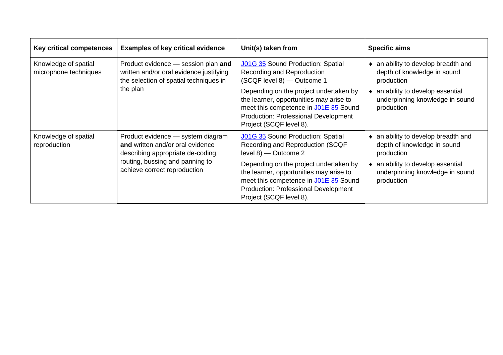| Key critical competences                      | <b>Examples of key critical evidence</b>                                                                                             | Unit(s) taken from                                                                                                                                                                                   | <b>Specific aims</b>                                                             |
|-----------------------------------------------|--------------------------------------------------------------------------------------------------------------------------------------|------------------------------------------------------------------------------------------------------------------------------------------------------------------------------------------------------|----------------------------------------------------------------------------------|
| Knowledge of spatial<br>microphone techniques | Product evidence - session plan and<br>written and/or oral evidence justifying<br>the selection of spatial techniques in<br>the plan | J01G 35 Sound Production: Spatial<br>Recording and Reproduction<br>(SCQF level 8) - Outcome 1                                                                                                        | an ability to develop breadth and<br>depth of knowledge in sound<br>production   |
|                                               |                                                                                                                                      | Depending on the project undertaken by<br>the learner, opportunities may arise to<br>meet this competence in J01E 35 Sound<br><b>Production: Professional Development</b><br>Project (SCQF level 8). | an ability to develop essential<br>underpinning knowledge in sound<br>production |
| Knowledge of spatial<br>reproduction          | Product evidence - system diagram<br>and written and/or oral evidence<br>describing appropriate de-coding,                           | J01G 35 Sound Production: Spatial<br>Recording and Reproduction (SCQF<br>$level 8$ ) — Outcome 2                                                                                                     | an ability to develop breadth and<br>depth of knowledge in sound<br>production   |
|                                               | routing, bussing and panning to<br>achieve correct reproduction                                                                      | Depending on the project undertaken by<br>the learner, opportunities may arise to<br>meet this competence in J01E 35 Sound<br><b>Production: Professional Development</b><br>Project (SCQF level 8). | an ability to develop essential<br>underpinning knowledge in sound<br>production |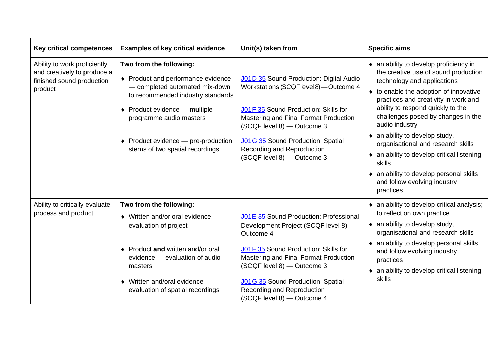| <b>Key critical competences</b>                                                                     | <b>Examples of key critical evidence</b>                                                                                                                                                                                                                                   | Unit(s) taken from                                                                                                                                                                                                                                                                                          | <b>Specific aims</b>                                                                                                                                                                                                                                                                                                                                                                                                                                                                                             |
|-----------------------------------------------------------------------------------------------------|----------------------------------------------------------------------------------------------------------------------------------------------------------------------------------------------------------------------------------------------------------------------------|-------------------------------------------------------------------------------------------------------------------------------------------------------------------------------------------------------------------------------------------------------------------------------------------------------------|------------------------------------------------------------------------------------------------------------------------------------------------------------------------------------------------------------------------------------------------------------------------------------------------------------------------------------------------------------------------------------------------------------------------------------------------------------------------------------------------------------------|
| Ability to work proficiently<br>and creatively to produce a<br>finished sound production<br>product | Two from the following:<br>♦ Product and performance evidence<br>- completed automated mix-down<br>to recommended industry standards<br>◆ Product evidence — multiple<br>programme audio masters<br>◆ Product evidence — pre-production<br>stems of two spatial recordings | J01D 35 Sound Production: Digital Audio<br>Workstations (SCQF level 8)-Outcome 4<br>J01F 35 Sound Production: Skills for<br>Mastering and Final Format Production<br>(SCQF level 8) - Outcome 3<br><b>J01G 35</b> Sound Production: Spatial<br>Recording and Reproduction<br>(SCQF level 8) - Outcome 3     | • an ability to develop proficiency in<br>the creative use of sound production<br>technology and applications<br>to enable the adoption of innovative<br>practices and creativity in work and<br>ability to respond quickly to the<br>challenges posed by changes in the<br>audio industry<br>• an ability to develop study,<br>organisational and research skills<br>an ability to develop critical listening<br>skills<br>• an ability to develop personal skills<br>and follow evolving industry<br>practices |
| Ability to critically evaluate<br>process and product                                               | Two from the following:<br>$\bullet$ Written and/or oral evidence $-$<br>evaluation of project<br>♦ Product and written and/or oral<br>evidence - evaluation of audio<br>masters<br>$\bullet$ Written and/oral evidence —<br>evaluation of spatial recordings              | J01E 35 Sound Production: Professional<br>Development Project (SCQF level 8) -<br>Outcome 4<br>J01F 35 Sound Production: Skills for<br>Mastering and Final Format Production<br>(SCQF level 8) - Outcome 3<br>J01G 35 Sound Production: Spatial<br>Recording and Reproduction<br>(SCQF level 8) - Outcome 4 | • an ability to develop critical analysis;<br>to reflect on own practice<br>$\bullet$ an ability to develop study,<br>organisational and research skills<br>an ability to develop personal skills<br>٠<br>and follow evolving industry<br>practices<br>an ability to develop critical listening<br>$\bullet$<br>skills                                                                                                                                                                                           |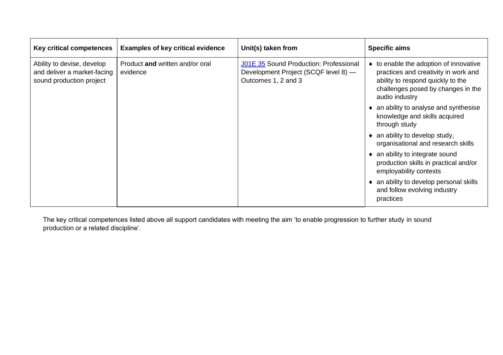| Key critical competences                                                              | <b>Examples of key critical evidence</b>    | Unit(s) taken from                                                                                    | <b>Specific aims</b>                                                                                                                                                        |
|---------------------------------------------------------------------------------------|---------------------------------------------|-------------------------------------------------------------------------------------------------------|-----------------------------------------------------------------------------------------------------------------------------------------------------------------------------|
| Ability to devise, develop<br>and deliver a market-facing<br>sound production project | Product and written and/or oral<br>evidence | J01E 35 Sound Production: Professional<br>Development Project (SCQF level 8) -<br>Outcomes 1, 2 and 3 | • to enable the adoption of innovative<br>practices and creativity in work and<br>ability to respond quickly to the<br>challenges posed by changes in the<br>audio industry |
|                                                                                       |                                             |                                                                                                       | • an ability to analyse and synthesise<br>knowledge and skills acquired<br>through study                                                                                    |
|                                                                                       |                                             |                                                                                                       | $\bullet$ an ability to develop study,<br>organisational and research skills                                                                                                |
|                                                                                       |                                             |                                                                                                       | • an ability to integrate sound<br>production skills in practical and/or<br>employability contexts                                                                          |
|                                                                                       |                                             |                                                                                                       | • an ability to develop personal skills<br>and follow evolving industry<br>practices                                                                                        |

The key critical competences listed above all support candidates with meeting the aim 'to enable progression to further study in sound production or a related discipline'.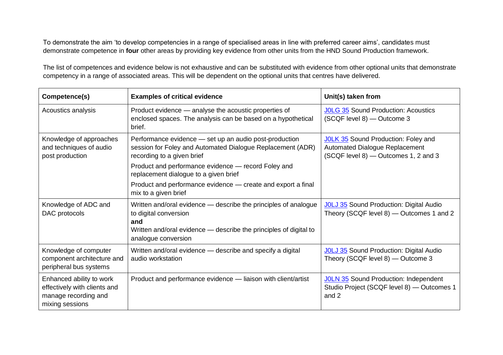To demonstrate the aim 'to develop competencies in a range of specialised areas in line with preferred career aims', candidates must demonstrate competence in **four** other areas by providing key evidence from other units from the HND Sound Production framework.

The list of competences and evidence below is not exhaustive and can be substituted with evidence from other optional units that demonstrate competency in a range of associated areas. This will be dependent on the optional units that centres have delivered.

| Competence(s)                                                                                       | <b>Examples of critical evidence</b>                                                                                                                                                                      | Unit(s) taken from                                                                                                   |
|-----------------------------------------------------------------------------------------------------|-----------------------------------------------------------------------------------------------------------------------------------------------------------------------------------------------------------|----------------------------------------------------------------------------------------------------------------------|
| Acoustics analysis                                                                                  | Product evidence - analyse the acoustic properties of<br>enclosed spaces. The analysis can be based on a hypothetical<br>brief.                                                                           | JOLG 35 Sound Production: Acoustics<br>(SCQF level 8) - Outcome 3                                                    |
| Knowledge of approaches<br>and techniques of audio<br>post production                               | Performance evidence - set up an audio post-production<br>session for Foley and Automated Dialogue Replacement (ADR)<br>recording to a given brief<br>Product and performance evidence - record Foley and | <b>JOLK 35</b> Sound Production: Foley and<br>Automated Dialogue Replacement<br>(SCQF level 8) - Outcomes 1, 2 and 3 |
|                                                                                                     | replacement dialogue to a given brief<br>Product and performance evidence - create and export a final<br>mix to a given brief                                                                             |                                                                                                                      |
| Knowledge of ADC and<br>DAC protocols                                                               | Written and/oral evidence – describe the principles of analogue<br>to digital conversion<br>and<br>Written and/oral evidence - describe the principles of digital to<br>analogue conversion               | <b>JOLJ 35</b> Sound Production: Digital Audio<br>Theory (SCQF level 8) - Outcomes 1 and 2                           |
| Knowledge of computer<br>component architecture and<br>peripheral bus systems                       | Written and/oral evidence — describe and specify a digital<br>audio workstation                                                                                                                           | <b>JOLJ 35</b> Sound Production: Digital Audio<br>Theory (SCQF level 8) - Outcome 3                                  |
| Enhanced ability to work<br>effectively with clients and<br>manage recording and<br>mixing sessions | Product and performance evidence - liaison with client/artist                                                                                                                                             | JOLN 35 Sound Production: Independent<br>Studio Project (SCQF level 8) - Outcomes 1<br>and 2                         |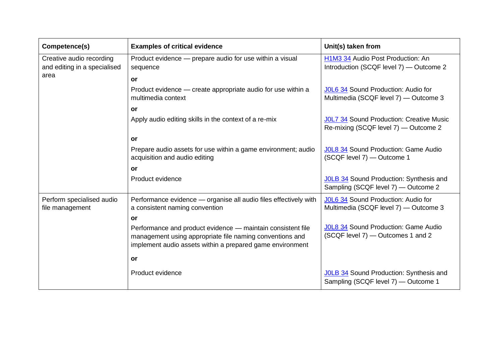| Competence(s)                                            | <b>Examples of critical evidence</b>                                                                                                                                                 | Unit(s) taken from                                                                      |
|----------------------------------------------------------|--------------------------------------------------------------------------------------------------------------------------------------------------------------------------------------|-----------------------------------------------------------------------------------------|
| Creative audio recording<br>and editing in a specialised | Product evidence - prepare audio for use within a visual<br>sequence                                                                                                                 | H1M3 34 Audio Post Production: An<br>Introduction (SCQF level 7) - Outcome 2            |
| area                                                     | <b>or</b>                                                                                                                                                                            |                                                                                         |
|                                                          | Product evidence — create appropriate audio for use within a<br>multimedia context                                                                                                   | J0L6 34 Sound Production: Audio for<br>Multimedia (SCQF level 7) - Outcome 3            |
|                                                          | or                                                                                                                                                                                   |                                                                                         |
|                                                          | Apply audio editing skills in the context of a re-mix                                                                                                                                | <b>JOL7 34 Sound Production: Creative Music</b><br>Re-mixing (SCQF level 7) — Outcome 2 |
|                                                          | or                                                                                                                                                                                   |                                                                                         |
|                                                          | Prepare audio assets for use within a game environment; audio<br>acquisition and audio editing                                                                                       | JOL8 34 Sound Production: Game Audio<br>(SCQF level 7) - Outcome 1                      |
|                                                          | or                                                                                                                                                                                   |                                                                                         |
|                                                          | Product evidence                                                                                                                                                                     | JOLB 34 Sound Production: Synthesis and<br>Sampling (SCQF level 7) - Outcome 2          |
| Perform specialised audio<br>file management             | Performance evidence - organise all audio files effectively with<br>a consistent naming convention                                                                                   | JOL6 34 Sound Production: Audio for<br>Multimedia (SCQF level 7) - Outcome 3            |
|                                                          | or                                                                                                                                                                                   |                                                                                         |
|                                                          | Performance and product evidence - maintain consistent file<br>management using appropriate file naming conventions and<br>implement audio assets within a prepared game environment | JOL8 34 Sound Production: Game Audio<br>(SCQF level 7) - Outcomes 1 and 2               |
|                                                          | or                                                                                                                                                                                   |                                                                                         |
|                                                          | Product evidence                                                                                                                                                                     | JOLB 34 Sound Production: Synthesis and<br>Sampling (SCQF level 7) - Outcome 1          |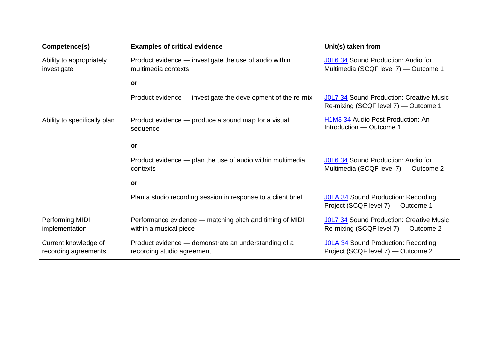| Competence(s)                                | <b>Examples of critical evidence</b>                                               | Unit(s) taken from                                                                      |
|----------------------------------------------|------------------------------------------------------------------------------------|-----------------------------------------------------------------------------------------|
| Ability to appropriately<br>investigate      | Product evidence — investigate the use of audio within<br>multimedia contexts      | JOL6 34 Sound Production: Audio for<br>Multimedia (SCQF level 7) - Outcome 1            |
|                                              | or                                                                                 |                                                                                         |
|                                              | Product evidence — investigate the development of the re-mix                       | <b>JOL7 34 Sound Production: Creative Music</b><br>Re-mixing (SCQF level 7) - Outcome 1 |
| Ability to specifically plan                 | Product evidence - produce a sound map for a visual<br>sequence                    | H <sub>1</sub> M <sub>3</sub> 34 Audio Post Production: An<br>Introduction - Outcome 1  |
|                                              | <b>or</b>                                                                          |                                                                                         |
|                                              | Product evidence - plan the use of audio within multimedia<br>contexts             | J0L6 34 Sound Production: Audio for<br>Multimedia (SCQF level 7) - Outcome 2            |
|                                              | or                                                                                 |                                                                                         |
|                                              | Plan a studio recording session in response to a client brief                      | JOLA 34 Sound Production: Recording<br>Project (SCQF level 7) — Outcome 1               |
| Performing MIDI<br>implementation            | Performance evidence — matching pitch and timing of MIDI<br>within a musical piece | <b>JOL7 34 Sound Production: Creative Music</b><br>Re-mixing (SCQF level 7) — Outcome 2 |
| Current knowledge of<br>recording agreements | Product evidence – demonstrate an understanding of a<br>recording studio agreement | <b>JOLA 34</b> Sound Production: Recording<br>Project (SCQF level 7) — Outcome 2        |